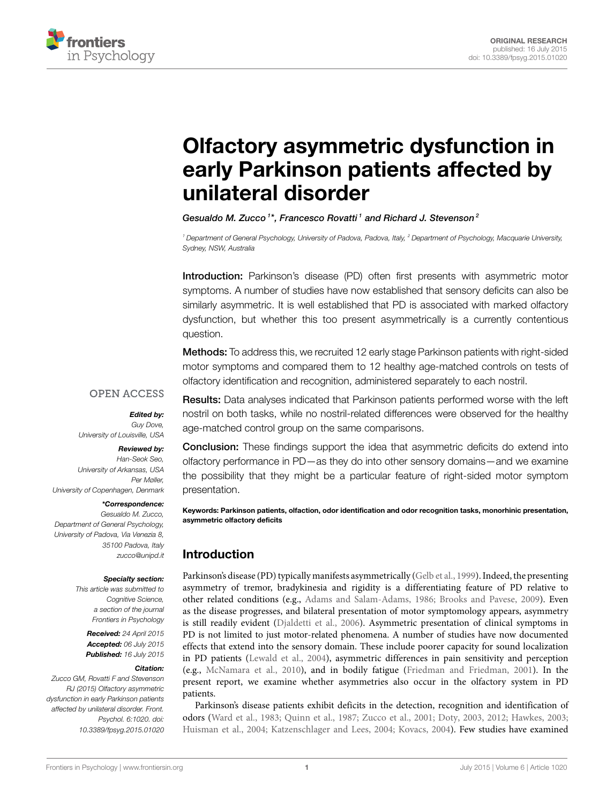

# **[Olfactory asymmetric dysfunction in](http://journal.frontiersin.org/article/10.3389/fpsyg.2015.01020/abstract) [early Parkinson pa](http://journal.frontiersin.org/article/10.3389/fpsyg.2015.01020/abstract)tients affected by [unilatera](http://loop.frontiersin.org/people/67567)l disorder**

*Gesualdo M. Zucco <sup>1</sup> \*, Francesco Rovatti <sup>1</sup> and Richard J. Stevenson <sup>2</sup>*

*<sup>1</sup> Department of General Psychology, University of Padova, Padova, Italy, <sup>2</sup> Department of Psychology, Macquarie University, Sydney, NSW, Australia*

Introduction: Parkinson's disease (PD) often first presents with asymmetric motor symptoms. A number of studies have now established that sensory deficits can also be similarly asymmetric. It is well established that PD is associated with marked olfactory dysfunction, but whether this too present asymmetrically is a currently contentious question.

**Methods:** To address this, we recruited 12 early stage Parkinson patients with right-sided motor symptoms and compared them to 12 healthy age-matched controls on tests of olfactory identification and recognition, administered separately to each nostril.

# **OPEN ACCESS**

### *Edited by:*

*Guy Dove, University of Louisville, USA*

### *Reviewed by:*

*Han-Seok Seo, University of Arkansas, USA Per Møller, University of Copenhagen, Denmark*

#### *\*Correspondence:*

*Gesualdo M. Zucco, Department of General Psychology, University of Padova, Via Venezia 8, 351[00 Padova, Italy](mailto:zucco@unipd.it) zucco@unipd.it*

#### *Specialty section:*

*This article was submitted to Cognitive Science, a section of the journal Frontiers in Psychology*

*Received: 24 April 2015 Accepted: 06 July 2015 Published: 16 July 2015*

#### *Citation:*

*Zucco GM, Rovatti F and Stevenson RJ (2015) Olfactory asymmetric dysfunction in early Parkinson patients affected by unilateral disorder. Fr[ont.](http://dx.doi.org/10.3389/fpsyg.2015.01020) [Psychol. 6:1020.](http://dx.doi.org/10.3389/fpsyg.2015.01020) doi: 10.3389/fpsyg.2015.01020* Results: Data analyses indicated that Parkinson patients performed worse with the left nostril on both tasks, while no nostril-related differences were observed for the healthy age-matched control group on the same comparisons.

**Conclusion:** These findings support the idea that asymmetric deficits do extend into olfactory performance in PD—as they do into other sensory domains—and we examine the possibility that they might be a particular feature of right-sided motor symptom presentation.

**Keywords: Parkinson patients, olfaction, odor identification and odor recognition tasks, monorhinic presentation, asymmetric olfactory deficits**

# **Introduction**

Parkinson's disease (PD) typically manifests asymmetrically (Gelb et al., 1999). Indeed, the presenting asymmetry of tremor, bradyk[inesia and rigidity is a d](#page-3-0)i[fferen](#page-3-0)t[iating feature of PD rela](#page-3-1)tive to other related conditions (e.g., Adams and Salam-Adams, 1986; Brooks and Pavese, 2009). Even as the disease progresse[s, and bilateral presen](#page-3-2)tation of motor symptomology appears, asymmetry is still readily evident (Djaldetti et al., 2006). Asymmetric presentation of clinical symptoms in PD is not limited to just motor-related phenomena. A number of studies have now documented effects that exte[nd into the sensory d](#page-3-3)omain. These include poorer capacity for sound localization in P[D patients \(Lewald et al.](#page-3-4), 2004), asymmetric differ[ences in pain sensitivity](#page-3-5) a[nd pe](#page-3-5)rception (e.g., McNamara et al., 2010), and in bodily fatigue (Friedman and Friedman, 2001). In the present report, we examine whether asymmetries also occur in the olfactory system in PD patients.

Par[kinson's disease pa](#page-3-6)[tients exhibit defici](#page-3-7)[ts in the det](#page-3-8)e[ction,](#page-3-8) [recognition](#page-3-9) [and i](#page-3-10)[dentificat](#page-3-11)i[on of](#page-3-11) [odors \(Ward et al., 19](#page-3-12)[83; Quinn et al., 1987; Zucco e](#page-3-13)t [al., 2001; Dot](#page-3-14)y, 2003, 2012; Hawkes, 2003; Huisman et al., 2004; Katzenschlager and Lees, 2004; Kovacs, 2004). Few studies have examined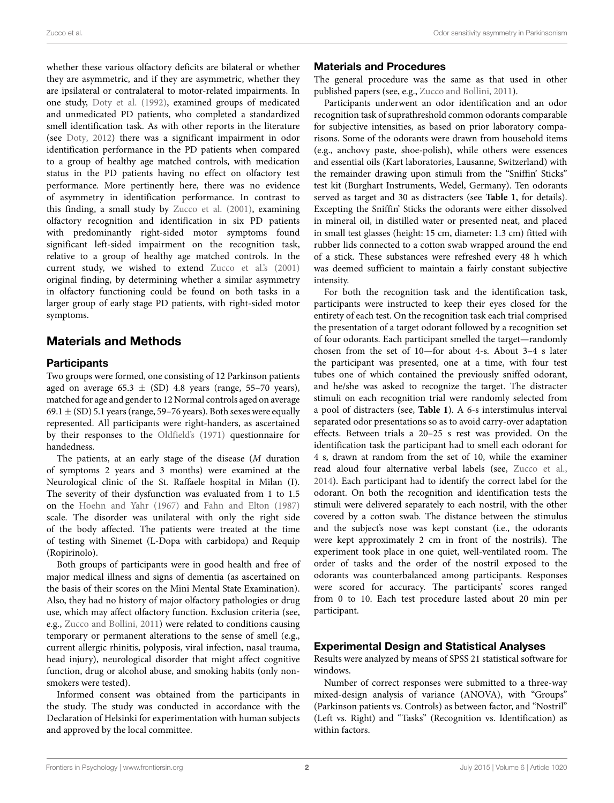whether these various olfactory deficits are bilateral or whether they are asymmetric, and if they are asymmetric, whether they are ipsilate[ral or contra](#page-3-15)l[ateral](#page-3-15) to motor-related impairments. In one study, Doty et al. (1992), examined groups of medicated and unmedicated PD patients, who completed a standardized smel[l iden](#page-3-10)t[ificati](#page-3-10)on task. As with other reports in the literature (see Doty, 2012) there was a significant impairment in odor identification performance in the PD patients when compared to a group of healthy age matched controls, with medication status in the PD patients having no effect on olfactory test performance. More pertinently here, there was no evidence of asymmetry in identificatio[n performan](#page-3-8)c[e. In](#page-3-8) contrast to this finding, a small study by Zucco et al. (2001), examining olfactory recognition and identification in six PD patients with predominantly right-sided motor symptoms found significant left-sided impairment on the recognition task, relative to a group of healthy age ma[tched controls.](#page-3-8) I[n the](#page-3-8) current study, we wished to extend Zucco et al.'s (2001) original finding, by determining whether a similar asymmetry in olfactory functioning could be found on both tasks in a larger group of early stage PD patients, with right-sided motor symptoms.

# **Materials and Methods**

### **Participants**

Two groups were formed, one consisting of 12 Parkinson patients aged on average  $65.3 \pm (SD)$  4.8 years (range, 55-70 years), matched for age and gender to 12 Normal controls aged on average 69.1 *±* (SD) 5.1 years (range, 59–76 years). Both sexes were equally represented. All participant[s were rig](#page-3-16)h[t-han](#page-3-16)ders, as ascertained by their responses to the Oldfield's (1971) questionnaire for handedness.

The patients, at an early stage of the disease (*M* duration of symptoms 2 years and 3 months) were examined at the Neurological clinic of the St. Raffaele hospital in Milan (I). The sev[erity of their dysf](#page-3-17)u[nction](#page-3-17) was [evaluated from 1 to 1.5](#page-3-18) on the Hoehn and Yahr (1967) and Fahn and Elton (1987) scale. The disorder was unilateral with only the right side of the body affected. The patients were treated at the time of testing with Sinemet (L-Dopa with carbidopa) and Requip (Ropirinolo).

Both groups of participants were in good health and free of major medical illness and signs of dementia (as ascertained on the basis of their scores on the Mini Mental State Examination). Also, they had no history of major olfactory pathologies or drug use, [which may affect olfacto](#page-3-19)ry function. Exclusion criteria (see, e.g., Zucco and Bollini, 2011) were related to conditions causing temporary or permanent alterations to the sense of smell (e.g., current allergic rhinitis, polyposis, viral infection, nasal trauma, head injury), neurological disorder that might affect cognitive function, drug or alcohol abuse, and smoking habits (only nonsmokers were tested).

Informed consent was obtained from the participants in the study. The study was conducted in accordance with the Declaration of Helsinki for experimentation with human subjects and approved by the local committee.

### **Materials and Procedures**

The general procedure [was the same as that u](#page-3-19)sed in other published papers (see, e.g., Zucco and Bollini, 2011).

Participants underwent an odor identification and an odor recognition task of suprathreshold common odorants comparable for subjective intensities, as based on prior laboratory comparisons. Some of the odorants were drawn from household items (e.g., anchovy paste, shoe-polish), while others were essences and essential oils (Kart laboratories, Lausanne, Switzerland) with the remainder drawing upon stimuli from the "Sniffin' Sticks" test kit (Burghart Instruments, Wedel, Ger[many\). T](#page-2-0)en odorants served as target and 30 as distracters (see **Table 1**, for details). Excepting the Sniffin' Sticks the odorants were either dissolved in mineral oil, in distilled water or presented neat, and placed in small test glasses (height: 15 cm, diameter: 1.3 cm) fitted with rubber lids connected to a cotton swab wrapped around the end of a stick. These substances were refreshed every 48 h which was deemed sufficient to maintain a fairly constant subjective intensity.

For both the recognition task and the identification task, participants were instructed to keep their eyes closed for the entirety of each test. On the recognition task each trial comprised the presentation of a target odorant followed by a recognition set of four odorants. Each participant smelled the target—randomly chosen from the set of 10—for about 4-s. About 3–4 s later the participant was presented, one at a time, with four test tubes one of which contained the previously sniffed odorant, and he/she was asked to recognize the target. The distracter stimuli on each recogniti[on trial](#page-2-0) were randomly selected from a pool of distracters (see, **Table 1**). A 6-s interstimulus interval separated odor presentations so as to avoid carry-over adaptation effects. Between trials a 20–25 s rest was provided. On the identification task the participant had to smell each odorant for 4 s, drawn at random from the set of 10, while [the examiner](#page-3-20) [read](#page-3-20) aloud four alternative verbal labels (see, Zucco et al., 2014). Each participant had to identify the correct label for the odorant. On both the recognition and identification tests the stimuli were delivered separately to each nostril, with the other covered by a cotton swab. The distance between the stimulus and the subject's nose was kept constant (i.e., the odorants were kept approximately 2 cm in front of the nostrils). The experiment took place in one quiet, well-ventilated room. The order of tasks and the order of the nostril exposed to the odorants was counterbalanced among participants. Responses were scored for accuracy. The participants' scores ranged from 0 to 10. Each test procedure lasted about 20 min per participant.

### **Experimental Design and Statistical Analyses**

Results were analyzed by means of SPSS 21 statistical software for windows.

Number of correct responses were submitted to a three-way mixed-design analysis of variance (ANOVA), with "Groups" (Parkinson patients vs. Controls) as between factor, and "Nostril" (Left vs. Right) and "Tasks" (Recognition vs. Identification) as within factors.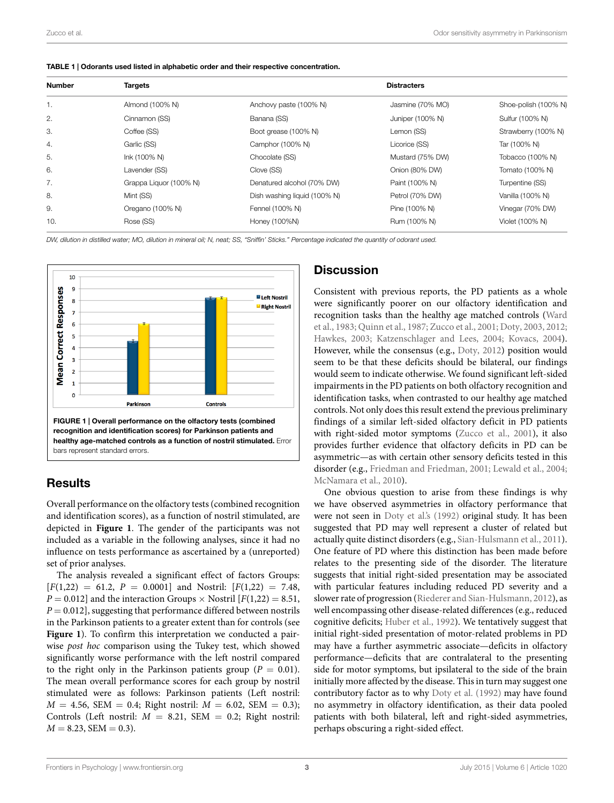| <b>Number</b> | <b>Targets</b>         |                              | <b>Distracters</b> |                      |  |
|---------------|------------------------|------------------------------|--------------------|----------------------|--|
| 1.            | Almond (100% N)        | Anchovy paste (100% N)       | Jasmine (70% MO)   | Shoe-polish (100% N) |  |
| 2.            | Cinnamon (SS)          | Banana (SS)                  | Juniper (100% N)   | Sulfur (100% N)      |  |
| 3.            | Coffee (SS)            | Boot grease (100% N)         | Lemon (SS)         | Strawberry (100% N)  |  |
| 4.            | Garlic (SS)            | Camphor (100% N)             | Licorice (SS)      | Tar (100% N)         |  |
| 5.            | Ink (100% N)           | Chocolate (SS)               | Mustard (75% DW)   | Tobacco (100% N)     |  |
| 6.            | Lavender (SS)          | Clove (SS)                   | Onion (80% DW)     | Tomato (100% N)      |  |
| 7.            | Grappa Liquor (100% N) | Denatured alcohol (70% DW)   | Paint (100% N)     | Turpentine (SS)      |  |
| 8.            | Mint (SS)              | Dish washing liquid (100% N) | Petrol (70% DW)    | Vanilla (100% N)     |  |
| 9.            | Oregano (100% N)       | Fennel (100% N)              | Pine (100% N)      | Vinegar (70% DW)     |  |
| 10.           | Rose (SS)              | Honey (100%N)                | Rum (100% N)       | Violet (100% N)      |  |

<span id="page-2-0"></span>

|  |  |  |  |  |  | TABLE 1   Odorants used listed in alphabetic order and their respective concentration. |  |
|--|--|--|--|--|--|----------------------------------------------------------------------------------------|--|
|--|--|--|--|--|--|----------------------------------------------------------------------------------------|--|

*DW, dilution in distilled water; MO, dilution in mineral oil; N, neat; SS, "Sniffin' Sticks." Percentage indicated the quantity of odorant used.*



# <span id="page-2-1"></span>**Results**

Overall performance on the olfactory tests (combined recognition and identifi[cation scor](#page-2-1)es), as a function of nostril stimulated, are depicted in **Figure 1**. The gender of the participants was not included as a variable in the following analyses, since it had no influence on tests performance as ascertained by a (unreported) set of prior analyses.

The analysis revealed a significant effect of factors Groups:  $[F(1,22) = 61.2, P = 0.0001]$  and Nostril:  $[F(1,22) = 7.48,$  $P = 0.012$ ] and the interaction Groups  $\times$  Nostril [ $F(1,22) = 8.51$ ,  $P = 0.012$ ], suggesting that performance differed between nostrils [in the Par](#page-2-1)kinson patients to a greater extent than for controls (see **Figure 1**). To confirm this interpretation we conducted a pairwise *post hoc* comparison using the Tukey test, which showed significantly worse performance with the left nostril compared to the right only in the Parkinson patients group ( $P = 0.01$ ). The mean overall performance scores for each group by nostril stimulated were as follows: Parkinson patients (Left nostril:  $M = 4.56$ , SEM = 0.4; Right nostril:  $M = 6.02$ , SEM = 0.3); Controls (Left nostril:  $M = 8.21$ , SEM = 0.2; Right nostril:  $M = 8.23$ , SEM = 0.3).

# **Discussion**

Consistent with previous reports, the PD patients as a whole were significantly poorer on our olfactory identificatio[n and](#page-3-6) [recognitio](#page-3-6)[n tasks than the h](#page-3-7)[ealthy age matche](#page-3-8)[d controls](#page-3-9)([Ward](#page-3-10) [et al.,](#page-3-11) 1983; [Qu](#page-3-11)inn et al., 1987; [Zucco et al.,](#page-3-13) 2[001;](#page-3-13) D[oty,](#page-3-14) 2003, [2012](#page-3-14); Hawkes, 2003; Katzenschlager and [Lees,](#page-3-10) [2004](#page-3-10); Kovacs, 2004). However, while the consensus (e.g., Doty, 2012) position would seem to be that these deficits should be bilateral, our findings would seem to indicate otherwise. We found significant left-sided impairments in the PD patients on both olfactory recognition and identification tasks, when contrasted to our healthy age matched controls. Not only does this result extend the previous preliminary findings of a similar left-sided olfa[ctory deficit](#page-3-8) i[n PD](#page-3-8) patients with right-sided motor symptoms (Zucco et al., 2001), it also provides further evidence that olfactory deficits in PD can be asymmetric—[as with certain other sen](#page-3-5)s[ory d](#page-3-5)[eficits tested](#page-3-3) i[n this](#page-3-3) [disorder \(e.g.,](#page-3-4) Fri[edma](#page-3-4)n and Friedman, 2001; Lewald et al., 2004; McNamara et al., 2010).

One obvious question to arise from these findings is why we have observe[d asymmetr](#page-3-15)i[es in](#page-3-15) olfactory performance that were not seen in Doty et al.'s (1992) original study. It has been suggested that PD may well repres[ent a cluster of related bu](#page-3-21)t actually quite distinct disorders (e.g., Sian-Hulsmann et al., 2011). One feature of PD where this distinction has been made before relates to the presenting side of the disorder. The literature suggests that initial right-sided presentation may be associated with particular features [including reduced PD severity an](#page-3-22)d a slower rate of progression (Riederer and Sian-Hulsmann, 2012), as well encompassin[g other disea](#page-3-23)s[e-rela](#page-3-23)ted differences (e.g., reduced cognitive deficits; Huber et al., 1992). We tentatively suggest that initial right-sided presentation of motor-related problems in PD may have a further asymmetric associate—deficits in olfactory performance—deficits that are contralateral to the presenting side for motor symptoms, but ipsilateral to the side of the brain initially more affected by the d[isease. This](#page-3-15) i[n turn](#page-3-15) may suggest one contributory factor as to why Doty et al. (1992) may have found no asymmetry in olfactory identification, as their data pooled patients with both bilateral, left and right-sided asymmetries, perhaps obscuring a right-sided effect.